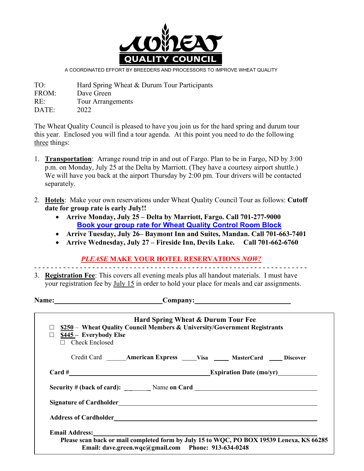

A COORDINATED EFFORT BY BREEDERS AND PROCESSORS TO IMPROVE WHEAT QUALITY

TO: Hard Spring Wheat & Durum Tour Participants FROM: Dave Green RE: Tour Arrangements DATE: 2022

The Wheat Quality Council is pleased to have you join us for the hard spring and durum tour this year. Enclosed you will find a tour agenda. At this point you need to do the following three things:

- 1. **Transportation**: Arrange round trip in and out of Fargo. Plan to be in Fargo, ND by 3:00 p.m. on Monday, July 25 at the Delta by Marriott. (They have a courtesy airport shuttle.) We will have you back at the airport Thursday by 2:00 pm. Tour drivers will be contacted separately.
- 2. **Hotels**: Make your own reservations under Wheat Quality Council Tour as follows: **Cutoff date for group rate is early July!!**
	- **Arrive Monday, July 25 – Delta by Marriott, Fargo. Call 701-277-9000 [Book your group rate for Wheat Quality Control Room Block](https://www.marriott.com/events/start.mi?id=1644431688749&key=GRP)**
	- **Arrive Tuesday, July 26– Baymont Inn and Suites, Mandan. Call 701-663-7401**
	- **Arrive Wednesday, July 27 – Fireside Inn, Devils Lake. Call 701-662-6760**

*PLEASE* **MAKE YOUR HOTEL RESERVATIONS** *NOW!* - - - - - - - - - - - - - - - - - - - - - - - - - - - - - - - - - - - - - - - - - - - - - - - - - - - - - - - - - - - - - - - - - -

3. **Registration Fee**: This covers all evening meals plus all handout materials. I must have your registration fee by July 15 in order to hold your place for meals and car assignments.

|                                                                                                                                                                         | Name: Company: Company:                                                                                                                                                                                                        |  |  |
|-------------------------------------------------------------------------------------------------------------------------------------------------------------------------|--------------------------------------------------------------------------------------------------------------------------------------------------------------------------------------------------------------------------------|--|--|
| Hard Spring Wheat & Durum Tour Fee<br>\$250 – Wheat Quality Council Members & University/Government Registrants<br>\$445 - Everybody Else<br>П<br>$\Box$ Check Enclosed |                                                                                                                                                                                                                                |  |  |
|                                                                                                                                                                         | Credit Card _______ American Express ______ Visa ______ MasterCard _____ Discover                                                                                                                                              |  |  |
|                                                                                                                                                                         |                                                                                                                                                                                                                                |  |  |
|                                                                                                                                                                         |                                                                                                                                                                                                                                |  |  |
|                                                                                                                                                                         |                                                                                                                                                                                                                                |  |  |
|                                                                                                                                                                         | Address of Cardholder Carrier and Care and Care and Care and Care and Care and Care and Care and Care and Care and Care and Care and Care and Care and Care and Care and Care and Care and Care and Care and Care and Care and |  |  |
|                                                                                                                                                                         |                                                                                                                                                                                                                                |  |  |
|                                                                                                                                                                         | Please scan back or mail completed form by July 15 to WQC, PO BOX 19539 Lenexa, KS 66285<br>Email: dave.green.wqc@gmail.com Phone: 913-634-0248                                                                                |  |  |